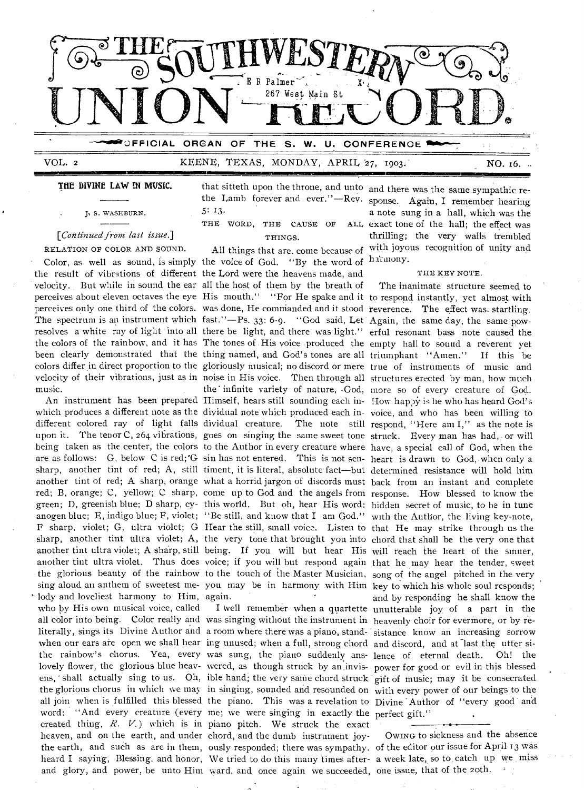

VOL. 2 **KEENE, TEXAS, MONDAY, APRIL 27, 1903. NO. 16.** 

## **16=11E1111W mmimmemmumm....**

#### **THE DIVINE LAW IN MUSIC.**

S. WASHBURN.

### [*Continued from last issue.*]

RELATION OF COLOR AND SOUND. the result of vibrations of different the Lord were the heavens made, and velocity. But while in sound the ear all the host of them by the breath of music.

' lody and loveliest harmony to Him, again. all color into being. Color really and was singing without the instrument in heavenly choir for evermore, or by rewhen our ears are open we shall hear ing unused; when a full, strong chord and discord, and at last the utter siheaven, and on the earth, and under chord, and the dumb instrument joyand glory, and power, be unto Him ward, and once again we succeeded, one issue, that of the 20th.

that sitteth upon the throne, and unto and there was the same sympathic rethe Lamb forever and ever."—Rev. sponse. Again, **I** remember hearing 5: 13.

THE WORD, THE CAUSE OF THINGS.

Color, as well as sound, is simply the voice of God. "By the word of harmony. perceives about eleven octaves the eye His mouth." "For He spake and it to respond instantly, yet almost with perceives only one third of the colors. was done, He commanded and it stood reverence. The effect was. startling. The spectrum is an instrument which fast."—Ps. 33: 6-9. "God said, Let Again, the same day, the same powresolves a white ray of light into all there be light, and there was light." erful resonant bass note caused the the colors of the rainbow, and it has The tones of His voice produced the empty hall to sound a reverent yet been clearly demonstrated that the thing named, and God's tones are all triumphant "Amen." If this be colors differ in direct proportion to the gloriously musical; no discord or mere true of instruments of music and velocity of their vibrations, just as in noise in His voice. Then through all structures erected by man, how much An instrument has been prepared Himself, hears still sounding each in- How happy is he who has heard God's which produces a different note as the dividual note which produced each in-voice, and who has been willing to different colored ray of light falls dividual creature. The note still respond, "Here am I," as the note is upon it. The tenor C, 264 vibrations, goes on singing the same sweet tone struck. Every man has had, or will being taken as the center, the colors to the Author in every creature where have, a special call of God, when the are as follows: G, below C is red;'G sin has not entered. This is not sen-heart is drawn to God,-when only a sharp, another tint of red; A, still timent, it is literal, absolute fact—but determined resistance will hold him another tint of red; A sharp, orange what a horrid jargon of discords must back from an instant and complete red; B, orange; C, yellow; C sharp, come up to God and the angels from response. How blessed to know the green; D, greenish blue; D sharp, cy-this world. But oh, hear His word: hidden secret of music, to be in tune anogen blue; E, indigo blue; F, violet; "Be still, and know that I am God." with the Author, the living key-note, F sharp, violet; G, ultra violet; G Hear the still, small voice. Listen to that He may strike through us the sharp, another tint ultra violet; A, the very tone that brought you into chord that shall be the very one that another tint ultra violet; A sharp, still being. If you will but hear His will reach the heart of the sinner, another tint ultra violet. Thus does voice; if you will but respond again that he may hear the tender, sweet the glorious beauty of the rainbow to the touch of the Master Musician, song of the angel pitched in the very sing aloud an anthem of sweetest me- you may be in harmony -with Him key to which his whole soul responds; the' infinite variety of nature, .God, more so of every creature of God.

word: "And every creature (every me; we were singing in exactly the perfect gift." created thing, *R. V.)* which is in piano pitch. We struck the exact the earth, and such as are in them, ously responded; there was sympathy. of the editor our issue for April 13 was heard I saying, Blessing, and honor, We tried to do this many times after-a week late, so to, catch up we miss

All things that are, come because of with joyous recognition of unity and a note sung in a hall, which was the ALL exact tone of the hall; the effect was thrilling; the very walls trembled

#### THE KEY NOTE.

who by His own musical voice, called **I well** remember when a quartette unutterable joy of a part in the literally, sings its Divine Author and a room where there was a piano, stand-sistance know an increasing sorrow the rainbow's chorus. Yea, every was sung, the piano suddenly ans-lence of eternal death. Oh! the lovely flower, the glorious blue heav-wered, as though struck by an.invis-power for good or evil in this blessed ens, ' shall actually sing to us. Oh, ible hand; the very sane chord struck gift of music; may it be consecrated the glorious chorus in which we may in singing, sounded and resounded on with every power of our beings to the all join when is fulfilled this blessed the piano. This was a revelation to Divine Author of "every good and The inanimate structure seemed to and by responding he shall know the

OWING to sickness and the absence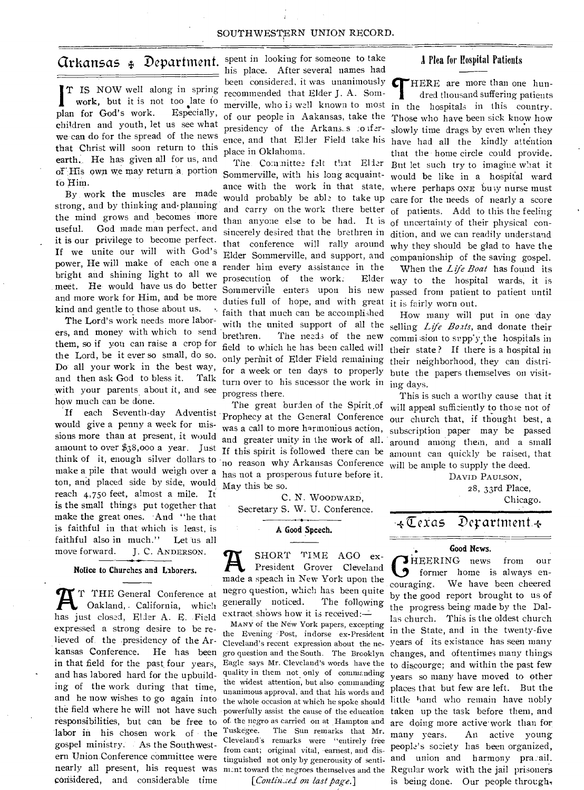#### SOUTHWESTERN UNION RECORD.

## Arkansas Department.

T IS NOW well along in spring work, but it is not too late to plan for God's work. Especially, children and youth, let us see what we can do for the spread of the news that Christ will soon return to this earth. He has given all for us, and of".His own we may return a portion to Him.

By work the muscles are made strong, and by thinking and. planning the mind grows and becomes more useful. God made man perfect, and **it is** our privilege to become perfect. If we unite our will with God's power, He will make of each one a bright and shining light to all we meet. He would have us do better and more work for Him, and be more kind and gentle to those about us.

The Lord's work needs more laborers, and money with which to send them, so if you can raise a crop for the Lord, be it ever so small, do so. Do all your work in the best way, and then ask God to bless it. Talk with your parents about it, and see how much can be done.

would give a penny a week for missions more than at present, it would ton, and placed side by side, would reach 4,75o feet, almost a mile. It is the small things put together that make the great ones. 'And "he that is faithful in that which is least, is faithful also in much." Let us all move forward. J. C. ANDERSON.

#### **Notice to Churches and Laborers.**

**A**<sup>T</sup> THE General Conference at Oakland, California, which has just closed, Elder A. E. Field T THE General Conference at Oakland, . California, which expressed a strong desire to be relieved of the presidency of the Arkansas Conference. He has been **in that field for** the past four years, and has labored hard for the upbuilding of the work during that time, and he now wishes to go again into the field where he will not have such labor **in** his chosen work of the gospel ministry: As the Southwestern Union. Conference committee were nearly all present, his request was considered, and considerable time

spent in looking for someone to take his place. After several names had been considered, it was unanimously  $\bigcap$ recommended that Elder J. A. Sommerville, who **i3** well known to most place in Oklahoma.

The. Committee felt that Eller Sommerville, with his long acquaintand carry on the work there better than anyone else to be had. It is sincerely desired that the brethren in that conference will rally around Elder Sommerville, and support, and render him every assistance in the prosecution of the work: Elder Sommerville enters upon his new duties full of hope, and with great it is fairly worn out. faith that much can be accomplished with the united support of all the brethren. The needs of the new field to which he has been called will only perinit of Elder Field remaining for a week or ten days to properly turn over to his sucessor the work in ing days. progress there.

If each Seventh-day Adventist Prophecy at the General Conference amount to over \$38,000 a year. Just If this spirit is followed there can be think of it, enough silver dollars to no reason why Arkansas Conference will be ample to supply the deed. make a pile that would weigh over a has not a prosperous future before it. The great burden of the Spirit.of was a call to more harmonious action, and greater unity in the work of all. May this be so.

> C. N. WOODWARD, Secretary S. W. U. Conference.

#### **A Good Speech.**

SHORT TIME AGO ex-President Grover Cleveland made a speach in New York upon the negro question, which has been quite generally noticed. The following extract shows how it is received:-

responsibilities, but can be free to of the negro as carried on at Hampton and MANY of the New York papers, excepting the Evening :Post, indorse ex-President gro question and the South. The Brooklyn Eagle says Mr. Cleveland's words have the quality in them not only of commanding the widest attention, but also commanding unanimous approval, and that his words and the whole occasion at which he spoke should powerfully assist the cause of the education Tuskegee. The Sun remarks that Mr. CleVeland's remarks were "entirely free from cant; original vital, earnest, and distinguished not only by generousity of senti-

*[Contin.zei on last page.]* 

#### Plea for Hospital Patients

of our people in Aakansas, take the Those who have been sick know how presidency of the Arkans. s : o ifer- slowly time drags by even when they ence, and that Elder Field take his have had all the kindly attention ance with the work in that state, where perhaps ONE buy nurse must would probably be able to take up care for the needs of nearly a score HERE are more than one hunt dred thousand suffering patients in the hospitals in this country. that the - home circle could provide. But let such try to imagine what it would be like in a hospital ward of patients. Add to this the feeling of uncertainty of their physical condition, and we can readily understand why they should be glad to have the companionship of the saving gospel.

> When the *Life Boat* has found its way to the hospital wards, it is passed from patient to patient until

How many will put in one 'day selling *Life Boats*, and donate their commi.sion to supply the hospitals in their state ? If there is a hospital in their neighborhood, they can distribute the papers themselves on visit-

This is such a worthy cause that it will appeal sufficiently to those not of our church that, if thought best, a subscription' paper may be passed around among them, and a small amount can quickly be raised, that

> DAVID PAULSON, 28, 33rd Place, Chicago.

## *.+Zexas* Derartment

#### **Good News.**

Cleveland's recent expression about the ne-years of its existance has seen many munt toward the negroes themselves and the Regular work with the jail prisoners **C**former home is always en-<br>
someoning We have been cheered *HEERING* news from our couraging., We have been cheered by the good report brought to us of the progress being made by the Dallas church. This is the oldest church in the State, and in the twenty-five changes, and oftentimes many things to discourge; and within the past few years so many have moved to other places that but few are left. But the little hand who remain have nobly taken up the task before them, and are doing more active work than for many years, An active young people's society has been organized, and union and harmony pra:ail. is being done. Our people through,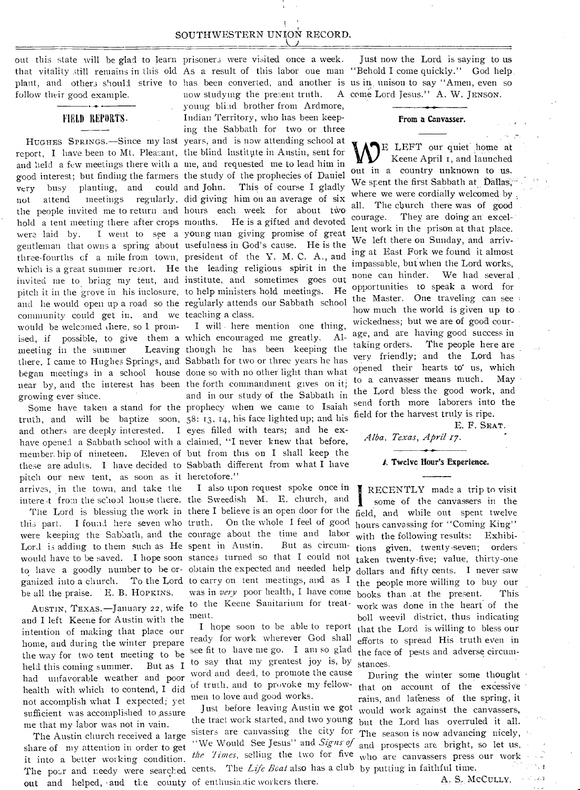## SOUTHWESTERN UNION RECORD.

plant, and others should strive to has been converted, and another is usin, unison to say "Amen, even so follow their good example.

#### -0- FIELD REPORTS.

report, I have been to Mt. Pleasant, the blind lustitute in Austin, sent for and held a few meetings there with a me, and requested me to lead him in good interest; but finding the farmers the study of the prophecies of Daniel very busy planting, and could and John. not attend meetings regularly, did giving him on an average of six the people invited me to return and hours each week for about two hold a tent meeting there after crops months. were laid by. I went to see a young man giving promise of great gentleman that owns a spring about usefulness in God's cause. He is the three-fourths cf a mile from town, president of the Y. M. C. A., and which is a great summer resort. He the leading religious spirit in the invited me to bring my tent, and institute, and sometimes goes out pitch it in the grove iu his inclosure, to help ministers hold meetings. He and he would open up a road so the regularly attends our Sabbath school community could get in, and we teaching a class. would be welcomed there, so I promised, if possible, to give them a which encouraged me greatly. Almeeting in the summer there, I came to Hughes Springs, and Sabbath for two or three years he has began meetings in a school house done so with no other light than what near by, and the interest has been the forth commandment gives on it; growing ever since.

truth, and will be baptize soon, 58: 13, 14, his face lighted up; and his and others are deeply interested. I eyes filled with tears; and he exhave opened a Sabbath school with a claimed, "I never knew that before, pitch our new tent, as soon as it heretofore." arrives, in the town, and take the

this part. I found here seven who truth. On the whole I feel of good were keeping the Sabbath, and the courage about the time and labor Lord is adding to them such as He spent in Austin. But as circumwould have to be saved. I hope soon stances turned so that I could not to have a goodly number to be or-obtain the expected and needed help ganized into a church. To the Lord to carry on tent meetings, and as I be all the praise. E. B. HOPKINS.

AUSTIN, TEXAS.—January 22, wife and I left Keene for Austin with the intention of making that place our home, and during the winter prepare the way for two tent meeting to be held this coming summer. But as I had unfavorable weather and poor health with which to contend, I did not accomplish what \_I expected; yet sufficient was accomplished to assure me that my labor was not in vain.

The Austin church received a large share of my attention in order to get it into a better working condition. out and helped, •and the county of enthusiastic workers there.

out this state will be glad to learn prisoners were visited once a week. HUGHES SPRINGS.—Since my last years, and is now attending school at now studying the present truth. young blind brother from Ardmore, Indian Territory, who has been keeping the Sabbath for two or three This of course I gladly He is a gifted and devoted

Some have taken a stand for the prophecy when we came to Isaiah member. hip of nineteen. Eleven of but from this on I shall keep the these are adults. I have decided to Sabbath different from what I have I will • here mention one thing, Leaving though he has been keeping the and in our study of the Sabbath in

intere t from the school house there. the Sweedish M. E. church, and The Lord is blessing the work in there I believe is an open door for the I also upon request spoke once in was in *very* poor health, I have come to the Keene Sanitarium for treatment.

> I hope soon to be able to report ready for work wherever God shall see fit to have me go. I am so glad to say that my greatest joy is, by word and deed, to promote the cause of truth, and to provoke my fellowmen to love and good works.

the tract work started, and two young but the Lord has overruled it all. sisters are canvassing the city for The season is now advancing nicely, The pour and needy were searched cents. The *Life Boat* also has a club by putting in faithful time. Just before leaving Austin we got the Times, selling the two for five

that vitality still remains in this old As a result of this labor one man "Behold I come quickly." God help. Just now the Lord is saying to us come Lord Jesus." A. W. JENSON.

#### From a Canvasser.

E LEFT our quiet home at Keene April t, and launched out in a country unknown to us. We spent the first Sabbath at Dallas, where we were cordially welcomed by. all. The church there was of good courage. They are doing an excellent work in the prison at that place. We left there on Sunday, and arriving at East Fork we found it almost impassable, but when the Lord works, none can hinder. We had several opportunities to speak a word for the Master. One traveling can see how much the world is given up to wickedness; but we are of good courage, and are having good success in taking orders. The people here are very friendly; and the Lord has opened their hearts to us, which to a canvasser means much. May the Lord bless the good work, and send forth more laborers into the field for the harvest truly is ripe.

E. F. SEAT.

#### *Alba, Texas, April*

#### I. Twelve Hour's Experience.

*I* **Twelve Hour's Experience.**<br>
TRECENTLY made a trip to visit<br>
some of the canvassers in the<br>
field, and while out spent twelve RECENTLY made a trip to visit some of the canvassers in the hours canvassing for "Coming King" with the following results: Exhibitions given, twenty-seven; orders taken twenty-five; value, thirty-one dollars and fifty cents. I never saw the people more willing to buy our books than .at the present. This work was done in the heart of the boil weevil district, thus indicating that the Lord is willing to bless our efforts to spread His truth even in the face of pests and adverse circumstances.

During the winter some thought that on account of the excessive rains, and lateness of the spring, it would work against the canvassers, "We Would See Jesus" and *Signs of* and prospects are bright, so let us, who are canvassers press our work

A. S. MCCULLY.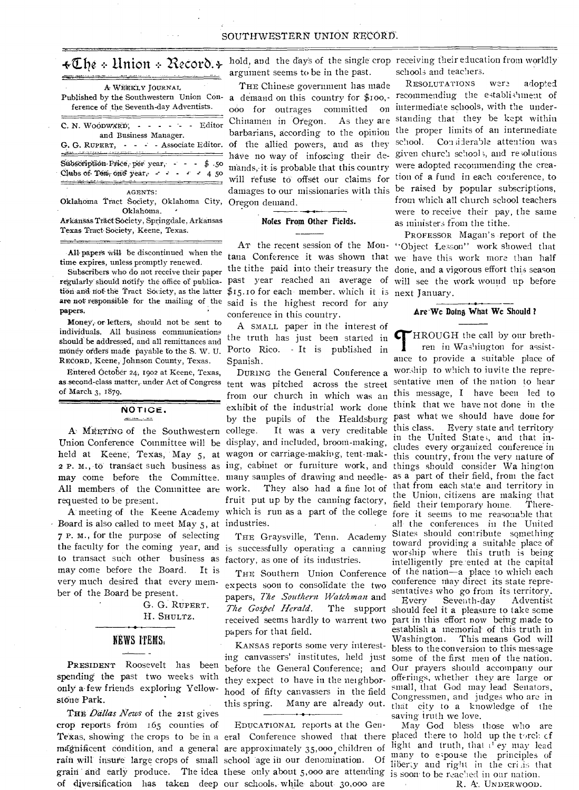## $\ast \mathbb{C}$ be + Union + Record.+  $\cdot$

| A WEEKLY JOURNAL<br>Published by the Southwestern Union Con-<br>ference of the Seventh-day Adventists.                                                     |
|------------------------------------------------------------------------------------------------------------------------------------------------------------|
| C. N. WOODWARD, - - - - - - Editor<br>and Business Manager.                                                                                                |
| G. G. RUPERT. - - - - Associate Editor.                                                                                                                    |
| Subscription Price, per year, - - - \$ 50<br>Clubs of Ten, one year, $\sim$ $\sim$ $\sim$ $\sim$ 4 50<br><u> 1999 - An Ann ann an Aonaichte ann an Cor</u> |
| <b>AGENTS:</b>                                                                                                                                             |
| Oklahoma Tract Society, Oklahoma City,                                                                                                                     |
| Oklahoma.                                                                                                                                                  |
| Arkansas Träct Society, Springdale, Arkansas                                                                                                               |
| Texas Tract Society. Keene. Texas.                                                                                                                         |

All papers will be discontinued when the time expires, unless promptly renewed.

Subscribers who do not receive their paper regularly should notify the office of publica- past year reached an average of will see the work wound up before tion and not the Tract Society, as the latter \$15.10 for each member, which it is next January. are not responsible for the mailing of the said is the highest record for any papers.

Money, or letters, should not be sent to individuals. All business communications should be addressed, and all remittances and money orders made payable to the S. W. U. RECORD, Keene, Johnson County, Texas.

Entered October 24, 1902 at Keene, Texas, as second-class matter, under Act of Congress tent was pitched across the street of March 3, 1879.

## NOTICE.

A MEETING of the Southwestern college. Union Conference Committee will be display, and included, broom-making, held at Keene, Texas, May 5, at wagon or carriage-making, tent-mak-2 P. M., to transact such business as ing, cabinet or furniture work, and All members of the Committee are work. requested to be present.

Board is also called to meet May 5, at industries. 7 P. M., for the purpose of selecting the faculty for the coming year, and is successfully operating a canning to transact such other business as factory, as one of its industries. may come before the Board. It is very much desired that every member of the Board be present.

> G. G. RUPERT. H. SHULTZ.

## **NEWS ITEMS.**

PRESIDENT Roosevelt has been spending the past two weeks with only a few friends exploring Yellowstone Park.

THE Dallas News of the 21st gives crop reports from 1.65 counties of Texas, showing the crops to be in a eral Conference showed that there placed there to hold up the torch of magnificent condition, and a general are approximately 35,000 children of rain will insure large crops of small school age in our denomination. Of many to espouse the principles of grain and early produce. The idea these only about 5,000 are attending is soon to be reached in our nation.

argument seems to be in the past.

THE Chinese government has made ooo for outrages committed Chinamen in Oregon. As they are standing that they be kept within barbarians, according to the opinion the proper limits of an intermediate of the allied powers, and as they school. Considerable attention was have no way of inforcing their de- given church schools, and resolutions mands, it is probable that this country were adopted recommending the creawill refuse to offset our claims for tion of a fund in each conference, to damages to our missionaries with this be raised by popular subscriptions, Oregon demand.

#### Notes From Other Fields.

tana Conference it was shown that we have this work more than half the tithe paid into their treasury the done, and a vigorous effort this season conference in this country.

A SMALL paper in the interest of the truth has just been started in Porto Rico. - It is published in Spanish.

from our church in which was an exhibit of the industrial work done think that we have not done in the by the pupils of the Healdsburg past what we should have done for It was a very creditable may come before the Committee. many samples of drawing and needle-They also had a fine lot of fruit put up by the canning factory, A meeting of the Keene Academy which is run as a part of the college fore it seems to me reasonable that

THE Graysville, Tenn. Academy

expects soon to consolidate the two papers, The Southern Watchman and The Gospel Herald. received seems hardly to warrent two papers for that field.

KANSAS reports some very interesting canvassers' institutes, held just before the General Conference; and they expect to have in the neighborhood of fifty canvassers in the field this spring. Many are already out.

EDUCATIONAL reports at the Genof diversification has taken deep our schools, while about 30,000 are

hold, and the days of the single crop receiving their education from worldly schools and teachers.

RESOLUTATIONS were adopted a demand on this country for \$100,- recommending the establishment of on intermediate schools, with the underfrom which all church school teachers were to receive their pay, the same as ministers from the tithe.

PROFESSOR Magan's report of the Ar the recent session of the Mon- "Object Lesson" work showed that

#### Are We Doing What We Should?

HROUGH the call by our brethren in Washington for assistance to provide a suitable place of DURING the General Conference a worship to which to invite the representative men of the nation to hear this message, I have been led to Every state and territory this class. in the United States, and that in-<br>cludes every organized conference in this country, from the very nature of things should consider Wa hington as a part of their field, from the fact that from each state and territory in the Union, citizens are making that field their temporary home. Thereall the conferences in the United States should contribute something toward providing a suitable place of worship where this truth is being intelligently pretented at the capital THE Southern Union Conference of the nation-a place to which each conference may direct its state representatives who go from its territory.

Seventh-day Every Adventist The support should feel it a pleasure to take some part in this effort now being made to establish a memorial of this truth in Washington. This means God will bless to the conversion to this message some of the first men of the nation. Our prayers should accompany our offerings, whether they are large or small, that God may lead Senators, Congressmen, and judges who are in that city to a knowledge of the saving truth we love.

May God bless those who are light and truth, that alley may lead

R. A. UNDERWOOD.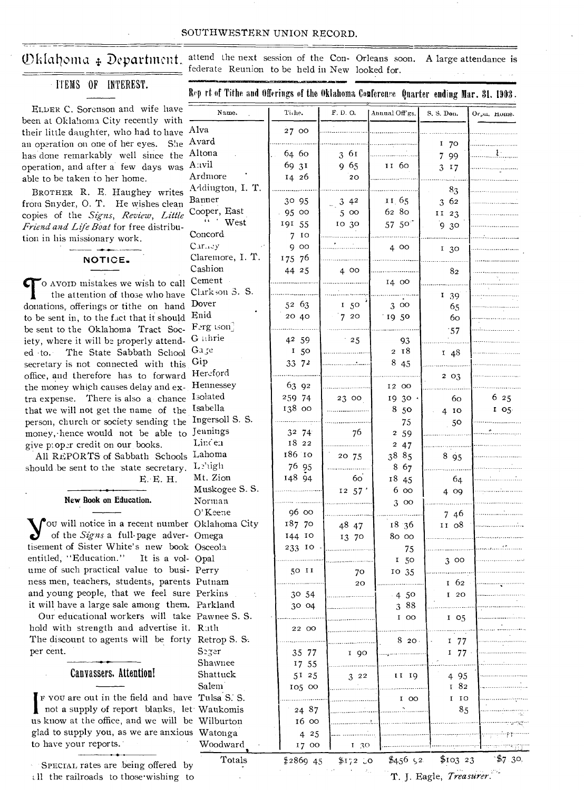### Oklahoma & Department.

ITEMS OF INTEREST.

attend the next session of the Con- Orleans soon. A large attendance is federate Reunion to be held in New looked for.

ELDER C. Sorenson and wife have been at Oklahoma City recently with their little daughter, who had to have Alv an operation on one of her eyes. She Av has done remarkably well since the Al operation, and after a few days was  $A^{r_1}$ Ar able to be taken to her home.

BROTHER R. E. Haughey writes from Snyder, O. T. He wishes clean copies of the Signs, Review, Little Friend and Life Boat for free distribution in his missionary work.

NOTICE.

o avoin mistakes we wish to call Ce the attention of those who have Cl donations, offerings or tithe on hand Do to be sent in, to the fact that it should En be sent to the Oklahoma Tract Soc- F<sup>2</sup> iety, where it will be properly attend-  $G$ ed to. The State Sabbath School G secretary is not connected with this office, and therefore has to forward Ho the money which causes delay and ex- Ho tra expense. There is also a chance  $1$ <sup>30</sup> that we will not get the name of the <sup>Ist</sup> person, church or society sending the In money, hence would not be able to Je give proper credit on our books.

All REPORTS of Sabbath Schools La should be sent to the state secretary. E. E. H.

New Book on Education.

 $\int$  ou will notice in a recent number O of the Signs a full-page adver- O tisement of Sister White's new book O entitled, "Education." It is a vol- O ume of such practical value to busi- P ness men, teachers, students, parents P and young people, that we feel sure P it will have a large sale among them. P

Our educational workers will take P hold with strength and advertise it. F The discount to agents will be forty F per cent.

Canvassers. Attention!

F you are out in the field and have not a supply of report blanks, let V us know at the office, and we will be glad to supply you, as we are anxious to have your reports.

SPECIAL rates are being offered by all the railroads to those wishing to

| Name.                           | Tiche.     | F. D. O. | Annual Off'gs.  | S. S. Don.      | Orpu. Home. |
|---------------------------------|------------|----------|-----------------|-----------------|-------------|
| Alva                            | 27 00      |          |                 |                 |             |
| Avard                           |            |          |                 | 1<br>70         |             |
| Altona                          | 64 60      | 3 61     |                 | 7.<br>99        |             |
| Anvil                           | 69 31      | 9 65     | 11 60           | 3 17            |             |
| Ardmore                         | 14 26      | 20       |                 |                 |             |
| Addington, I. T.                |            |          |                 | 83              |             |
| Banner                          | 30 95      | 342      | 11.65           | 362             |             |
| Cooper, East                    | 95 00      | 500      | 62 80           | II $23$         |             |
| West                            | 191 55     | 10 30    | $57\,50^\circ$  |                 |             |
| Concord.                        | - 10<br>7  |          |                 | 9.30            |             |
| $C$ <i>xr</i> <sub>1</sub> , 2y | g.<br>00   |          | 400             |                 |             |
| Claremore, I. T.                | 175 76     |          |                 | 130             |             |
| Cashion                         |            |          |                 |                 |             |
| Cement                          | 44 25      | 400      |                 | 82              |             |
| Clarkson 3. S.                  |            |          | 14 00           |                 |             |
| Dover                           |            |          |                 | 139             |             |
|                                 | 52 63      | 150      | 300             | 65              |             |
| Enid                            | 20 40      | 720      | 19 50           | 60              |             |
| Ferg ison                       |            |          |                 | :57             |             |
| G ahrie                         | 42 59      | 25       | 93              |                 |             |
| Gage                            | 150        |          | 218             | 148             |             |
| Gip                             | 33 72      |          | 8 45            |                 |             |
| Hereford                        |            |          |                 | 203             |             |
| Hennessey                       | 63 92      |          | 12 00           |                 |             |
| <b>I</b> solated                | 259 74     | 23 00    | 19 30 ·         | 60              | 6 25        |
| Isabella                        | 138 00     |          | 8 50            | 4 <sub>10</sub> | 105         |
| Ingersoll S. S.                 |            |          | 75              | 50              |             |
| Jennings                        | 32 74      | 76       | 2 5 9           |                 |             |
| Lincen                          | 18 22      |          | 247             |                 |             |
| Lahoma                          | 186 10     | 20 75    | 38 85           | 895             |             |
| Lehigh                          | 76 95      |          | 8 67            |                 |             |
| Mt. Zion                        | 148 94     | 60       | 18 45           | 64              |             |
| Muskogee S.S.                   |            | 12, 57'  | 6 00            | 4 09            |             |
| Norman                          |            |          | 300             |                 |             |
| O'Keene                         | 96 00      |          |                 | 746             |             |
| Oklahoma City                   | 187 70     | 48 47    | 18 36           | II 08           |             |
| Omega                           | 144 10     | 13 70    | 80 00           |                 |             |
| Osceola                         | 233 10     |          | 75              |                 |             |
| Opal                            |            |          | <sup>1</sup> 50 | 300             |             |
| Perry                           | 50 II      | 70       | 10 35           |                 |             |
| Putnam                          |            | 20       |                 | $1\,62$         |             |
| Perkins                         | 30 54      |          | $-4,50$         | I 20            |             |
| Parkland                        | 30 04      |          | 388             |                 |             |
| Pawnee S.S.                     |            |          | I 00            | $I$ 05          |             |
| Ruth                            | 22 00      |          |                 |                 |             |
| Retrop S. S.<br>Ý.              |            |          | 820.            | I 77            |             |
| Seger                           | 35 77      | I 90     |                 | 177             |             |
| Shawnee                         | 17 55      |          |                 |                 |             |
| Shattuck                        | 51 25      | $3^{22}$ | II 19           | 4 95            |             |
| Salem                           | 105 00     |          |                 | 182             |             |
| e Tulsa S. S.                   |            |          |                 | I 10            |             |
| t Waukomis                      |            |          | $I$ 00          |                 |             |
| e Wilburton                     | 24 87      |          |                 | 85              |             |
|                                 | 16 00      |          |                 |                 |             |
| s Watonga                       | 425        |          |                 |                 |             |
| Woodward                        | 17 00      | 1,30     |                 |                 |             |
| Totals<br>v                     | $$2869$ 45 | $$172$ 0 | \$456 $52$      | \$10323         | \$7.30.     |

T. J. Eagle, Treasurer.